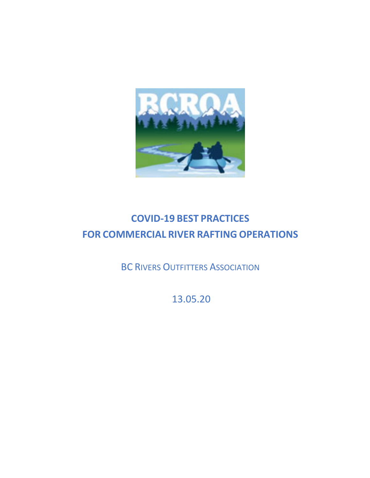

# **COVID-19 BEST PRACTICES FOR COMMERCIAL RIVER RAFTING OPERATIONS**

**BC RIVERS OUTFITTERS ASSOCIATION** 

13.05.20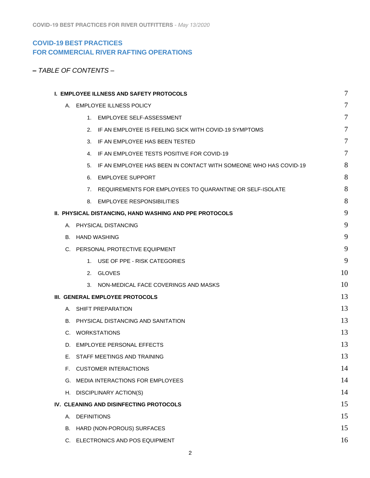# **COVID-19 BEST PRACTICES FOR COMMERCIAL RIVER RAFTING OPERATIONS**

|  |  |  |  | – TABLE OF CONTENTS – |
|--|--|--|--|-----------------------|
|--|--|--|--|-----------------------|

|                          | I. EMPLOYEE ILLNESS AND SAFETY PROTOCOLS                            | $\overline{7}$ |
|--------------------------|---------------------------------------------------------------------|----------------|
|                          | A. EMPLOYEE ILLNESS POLICY                                          | 7              |
|                          | 1. EMPLOYEE SELF-ASSESSMENT                                         | 7              |
|                          | 2. IF AN EMPLOYEE IS FEELING SICK WITH COVID-19 SYMPTOMS            | 7              |
|                          | 3. IF AN EMPLOYEE HAS BEEN TESTED                                   | 7              |
|                          | 4. IF AN EMPLOYEE TESTS POSITIVE FOR COVID-19                       | 7              |
|                          | 5. IF AN EMPLOYEE HAS BEEN IN CONTACT WITH SOMEONE WHO HAS COVID-19 | 8              |
|                          | 6. EMPLOYEE SUPPORT                                                 | 8              |
|                          | 7. REQUIREMENTS FOR EMPLOYEES TO QUARANTINE OR SELF-ISOLATE         | 8              |
|                          | 8. EMPLOYEE RESPONSIBILITIES                                        | 8              |
|                          | <b>II. PHYSICAL DISTANCING, HAND WASHING AND PPE PROTOCOLS</b>      | 9              |
|                          | A. PHYSICAL DISTANCING                                              | 9              |
| <b>B. HAND WASHING</b>   |                                                                     | 9              |
|                          | C. PERSONAL PROTECTIVE EQUIPMENT                                    | 9              |
|                          | 1. USE OF PPE - RISK CATEGORIES                                     | 9              |
|                          | 2. GLOVES                                                           | 10             |
|                          | 3. NON-MEDICAL FACE COVERINGS AND MASKS                             | 10             |
|                          | III. GENERAL EMPLOYEE PROTOCOLS                                     | 13             |
| A. SHIFT PREPARATION     |                                                                     | 13             |
|                          | B. PHYSICAL DISTANCING AND SANITATION                               | 13             |
| C. WORKSTATIONS          |                                                                     | 13             |
|                          | D. EMPLOYEE PERSONAL EFFECTS                                        | 13             |
|                          | E. STAFF MEETINGS AND TRAINING                                      | 13             |
| F.                       | <b>CUSTOMER INTERACTIONS</b>                                        | 14             |
| G.                       | MEDIA INTERACTIONS FOR EMPLOYEES                                    | 14             |
|                          | H. DISCIPLINARY ACTION(S)                                           | 14             |
|                          | IV. CLEANING AND DISINFECTING PROTOCOLS                             | 15             |
| <b>DEFINITIONS</b><br>А. |                                                                     | 15             |
| В.                       | HARD (NON-POROUS) SURFACES                                          | 15             |
| C.                       | ELECTRONICS AND POS EQUIPMENT                                       | 16             |
|                          |                                                                     |                |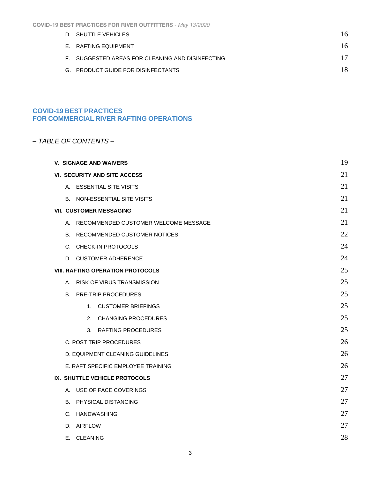| <b>COVID-19 BEST PRACTICES FOR RIVER OUTFITTERS - May 13/2020</b> |  |  |  |  |
|-------------------------------------------------------------------|--|--|--|--|
|-------------------------------------------------------------------|--|--|--|--|

|  | D. SHUTTLE VEHICLES                              | 16 |
|--|--------------------------------------------------|----|
|  | E. RAFTING EQUIPMENT                             | 16 |
|  | F. SUGGESTED AREAS FOR CLEANING AND DISINFECTING | 17 |
|  | G. PRODUCT GUIDE FOR DISINFECTANTS               | 18 |
|  |                                                  |    |

# **COVID-19 BEST PRACTICES FOR COMMERCIAL RIVER RAFTING OPERATIONS**

# *– TABLE OF CONTENTS –*

| 19<br><b>V. SIGNAGE AND WAIVERS</b>      |    |  |
|------------------------------------------|----|--|
| <b>VI. SECURITY AND SITE ACCESS</b>      | 21 |  |
| A. ESSENTIAL SITE VISITS                 | 21 |  |
| B. NON-ESSENTIAL SITE VISITS             | 21 |  |
| <b>VII. CUSTOMER MESSAGING</b>           | 21 |  |
| A. RECOMMENDED CUSTOMER WELCOME MESSAGE  | 21 |  |
| B. RECOMMENDED CUSTOMER NOTICES          | 22 |  |
| C. CHECK-IN PROTOCOLS                    | 24 |  |
| D. CUSTOMER ADHERENCE                    | 24 |  |
| <b>VIII. RAFTING OPERATION PROTOCOLS</b> | 25 |  |
| A. RISK OF VIRUS TRANSMISSION            | 25 |  |
| <b>PRE-TRIP PROCEDURES</b><br>В.         | 25 |  |
| 1. CUSTOMER BRIEFINGS                    | 25 |  |
| 2. CHANGING PROCEDURES                   | 25 |  |
| RAFTING PROCEDURES<br>3.                 | 25 |  |
| C. POST TRIP PROCEDURES                  | 26 |  |
| D. EQUIPMENT CLEANING GUIDELINES         | 26 |  |
| E. RAFT SPECIFIC EMPLOYEE TRAINING       | 26 |  |
| IX. SHUTTLE VEHICLE PROTOCOLS            | 27 |  |
| A. USE OF FACE COVERINGS                 | 27 |  |
| <b>B. PHYSICAL DISTANCING</b>            | 27 |  |
| C. HANDWASHING                           | 27 |  |
| D. AIRFLOW                               | 27 |  |
| E. CLEANING                              | 28 |  |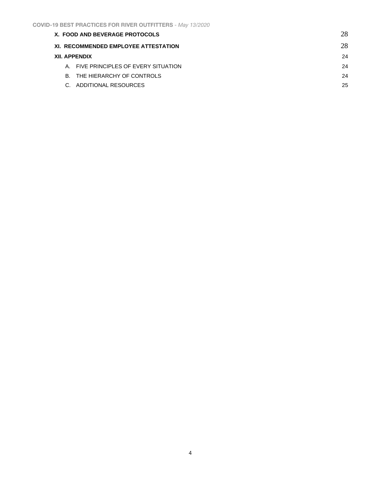| X. FOOD AND BEVERAGE PROTOCOLS        | 28 |
|---------------------------------------|----|
| XI. RECOMMENDED EMPLOYEE ATTESTATION  | 28 |
| <b>XII. APPENDIX</b>                  | 24 |
| A. FIVE PRINCIPLES OF EVERY SITUATION | 24 |
| B. THE HIERARCHY OF CONTROLS          | 24 |
| C. ADDITIONAL RESOURCES               | 25 |
|                                       |    |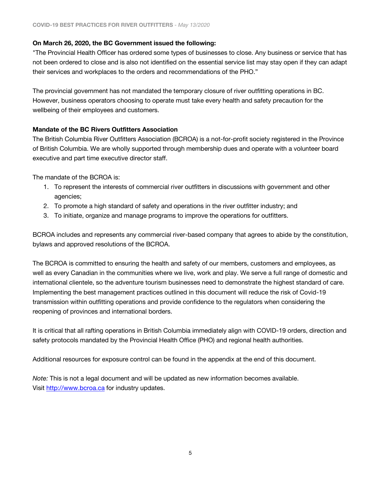# **On March 26, 2020, the BC Government issued the following:**

"The Provincial Health Officer has ordered some types of businesses to close. Any business or service that has not been ordered to close and is also not identified on the essential service list may stay open if they can adapt their services and workplaces to the orders and recommendations of the PHO."

The provincial government has not mandated the temporary closure of river outfitting operations in BC. However, business operators choosing to operate must take every health and safety precaution for the wellbeing of their employees and customers.

# **Mandate of the BC Rivers Outfitters Association**

The British Columbia River Outfitters Association (BCROA) is a not-for-profit society registered in the Province of British Columbia. We are wholly supported through membership dues and operate with a volunteer board executive and part time executive director staff.

The mandate of the BCROA is:

- 1. To represent the interests of commercial river outfitters in discussions with government and other agencies;
- 2. To promote a high standard of safety and operations in the river outfitter industry; and
- 3. To initiate, organize and manage programs to improve the operations for outfitters.

BCROA includes and represents any commercial river-based company that agrees to abide by the constitution, bylaws and approved resolutions of the BCROA.

The BCROA is committed to ensuring the health and safety of our members, customers and employees, as well as every Canadian in the communities where we live, work and play. We serve a full range of domestic and international clientele, so the adventure tourism businesses need to demonstrate the highest standard of care. Implementing the best management practices outlined in this document will reduce the risk of Covid-19 transmission within outfitting operations and provide confidence to the regulators when considering the reopening of provinces and international borders.

It is critical that all rafting operations in British Columbia immediately align with COVID-19 orders, direction and safety protocols mandated by the Provincial Health Office (PHO) and regional health authorities.

Additional resources for exposure control can be found in the appendix at the end of this document.

*Note:* This is not a legal document and will be updated as new information becomes available. Visit [http://www.bcroa.ca](http://www.bcroa.ca/) for industry updates.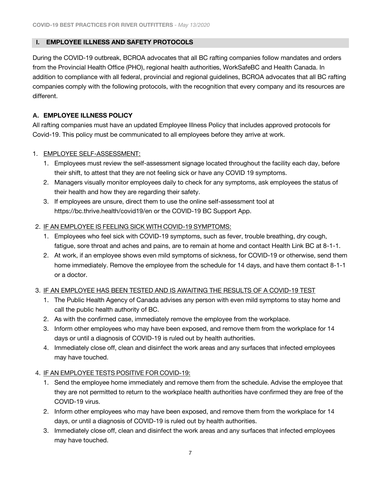### <span id="page-6-0"></span> **I. EMPLOYEE ILLNESS AND SAFETY PROTOCOLS**

During the COVID-19 outbreak, BCROA advocates that all BC rafting companies follow mandates and orders from the Provincial Health Office (PHO), regional health authorities, WorkSafeBC and Health Canada. In addition to compliance with all federal, provincial and regional guidelines, BCROA advocates that all BC rafting companies comply with the following protocols, with the recognition that every company and its resources are different.

### <span id="page-6-1"></span>**A. EMPLOYEE ILLNESS POLICY**

All rafting companies must have an updated Employee Illness Policy that includes approved protocols for Covid-19. This policy must be communicated to all employees before they arrive at work.

### <span id="page-6-2"></span>1. EMPLOYEE SELF-ASSESSMENT:

- 1. Employees must review the self-assessment signage located throughout the facility each day, before their shift, to attest that they are not feeling sick or have any COVID 19 symptoms.
- 2. Managers visually monitor employees daily to check for any symptoms, ask employees the status of their health and how they are regarding their safety.
- 3. If employees are unsure, direct them to use the online self-assessment tool at <https://bc.thrive.health/covid19/en> or the COVID-19 BC Support App.

### <span id="page-6-3"></span>2. IF AN EMPLOYEE IS FEELING SICK WITH COVID‐19 SYMPTOMS:

- 1. Employees who feel sick with COVID-19 symptoms, such as fever, trouble breathing, dry cough, fatigue, sore throat and aches and pains, are to remain at home and contact Health Link BC at 8-1-1.
- 2. At work, if an employee shows even mild symptoms of sickness, for COVID-19 or otherwise, send them home immediately. Remove the employee from the schedule for 14 days, and have them contact 8-1-1 or a doctor.

### <span id="page-6-4"></span>3. IF AN EMPLOYEE HAS BEEN TESTED AND IS AWAITING THE RESULTS OF A COVID‐19 TEST

- 1. The Public Health Agency of Canada advises any person with even mild symptoms to stay home and call the public health authority of BC.
- 2. As with the confirmed case, immediately remove the employee from the workplace.
- 3. Inform other employees who may have been exposed, and remove them from the workplace for 14 days or until a diagnosis of COVID-19 is ruled out by health authorities.
- 4. Immediately close off, clean and disinfect the work areas and any surfaces that infected employees may have touched.

### <span id="page-6-5"></span>4. IF AN EMPLOYEE TESTS POSITIVE FOR COVID‐19:

- 1. Send the employee home immediately and remove them from the schedule. Advise the employee that they are not permitted to return to the workplace health authorities have confirmed they are free of the COVID-19 virus.
- 2. Inform other employees who may have been exposed, and remove them from the workplace for 14 days, or until a diagnosis of COVID-19 is ruled out by health authorities.
- 3. Immediately close off, clean and disinfect the work areas and any surfaces that infected employees may have touched.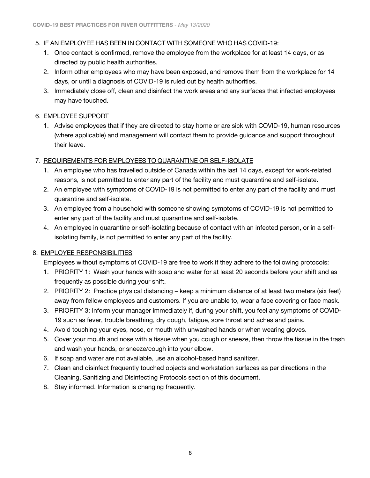### <span id="page-7-0"></span>5. IF AN EMPLOYEE HAS BEEN IN CONTACT WITH SOMEONE WHO HAS COVID-19:

- 1. Once contact is confirmed, remove the employee from the workplace for at least 14 days, or as directed by public health authorities.
- 2. Inform other employees who may have been exposed, and remove them from the workplace for 14 days, or until a diagnosis of COVID-19 is ruled out by health authorities.
- 3. Immediately close off, clean and disinfect the work areas and any surfaces that infected employees may have touched.

# <span id="page-7-1"></span>6. EMPLOYEE SUPPORT

1. Advise employees that if they are directed to stay home or are sick with COVID-19, human resources (where applicable) and management will contact them to provide guidance and support throughout their leave.

# <span id="page-7-2"></span>7. REQUIREMENTS FOR EMPLOYEES TO QUARANTINE OR SELF‐ISOLATE

- 1. An employee who has travelled outside of Canada within the last 14 days, except for work-related reasons, is not permitted to enter any part of the facility and must quarantine and self-isolate.
- 2. An employee with symptoms of COVID-19 is not permitted to enter any part of the facility and must quarantine and self-isolate.
- 3. An employee from a household with someone showing symptoms of COVID-19 is not permitted to enter any part of the facility and must quarantine and self-isolate.
- 4. An employee in quarantine or self-isolating because of contact with an infected person, or in a selfisolating family, is not permitted to enter any part of the facility.

### <span id="page-7-3"></span>8. EMPLOYEE RESPONSIBILITIES

Employees without symptoms of COVID-19 are free to work if they adhere to the following protocols:

- 1. PRIORITY 1: Wash your hands with soap and water for at least 20 seconds before your shift and as frequently as possible during your shift.
- 2. PRIORITY 2: Practice physical distancing keep a minimum distance of at least two meters (six feet) away from fellow employees and customers. If you are unable to, wear a face covering or face mask.
- 3. PRIORITY 3: Inform your manager immediately if, during your shift, you feel any symptoms of COVID‐ 19 such as fever, trouble breathing, dry cough, fatigue, sore throat and aches and pains.
- 4. Avoid touching your eyes, nose, or mouth with unwashed hands or when wearing gloves.
- 5. Cover your mouth and nose with a tissue when you cough or sneeze, then throw the tissue in the trash and wash your hands, or sneeze/cough into your elbow.
- 6. If soap and water are not available, use an alcohol-based hand sanitizer.
- 7. Clean and disinfect frequently touched objects and workstation surfaces as per directions in the Cleaning, Sanitizing and Disinfecting Protocols section of this document.
- 8. Stay informed. Information is changing frequently.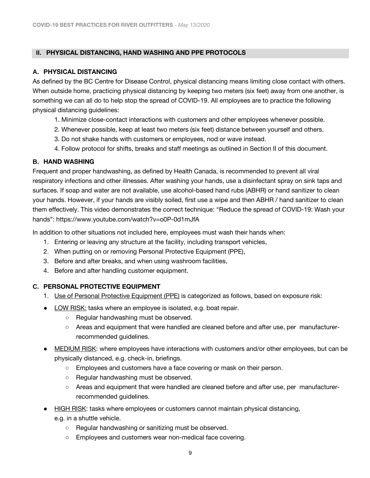### <span id="page-8-0"></span> **II. PHYSICAL DISTANCING, HAND WASHING AND PPE PROTOCOLS**

### <span id="page-8-1"></span>**A. PHYSICAL DISTANCING**

As defined by the BC Centre for Disease Control, physical distancing means limiting close contact with others. When outside home, practicing physical distancing by keeping two meters (six feet) away from one another, is something we can all do to help stop the spread of COVID-19. All employees are to practice the following physical distancing guidelines:

- 1. Minimize close-contact interactions with customers and other employees whenever possible.
- 2. Whenever possible, keep at least two meters (six feet) distance between yourself and others.
- 3. Do not shake hands with customers or employees, nod or wave instead.
- 4. Follow protocol for shifts, breaks and staff meetings as outlined in Section II of this document.

### <span id="page-8-2"></span>**B. HAND WASHING**

Frequent and proper handwashing, as defined by Health Canada, is recommended to prevent all viral respiratory infections and other illnesses. After washing your hands, use a disinfectant spray on sink taps and surfaces. If soap and water are not available, use alcohol-based hand rubs (ABHR) or hand sanitizer to clean your hands. However, if your hands are visibly soiled, first use a wipe and then ABHR / hand sanitizer to clean them effectively. This video demonstrates the correct technique: "Reduce the spread of COVID-19: Wash your hands": <https://www.youtube.com/watch?v=o0P-0d1mJfA>

In addition to other situations not included here, employees must wash their hands when:

- 1. Entering or leaving any structure at the facility, including transport vehicles,
- 2. When putting on or removing Personal Protective Equipment (PPE),
- 3. Before and after breaks, and when using washroom facilities,
- 4. Before and after handling customer equipment.

### <span id="page-8-4"></span><span id="page-8-3"></span>**C. PERSONAL PROTECTIVE EQUIPMENT**

- 1. Use of Personal Protective Equipment (PPE) is categorized as follows, based on exposure risk:
- LOW RISK: tasks where an employee is isolated, e.g. boat repair.
	- Regular handwashing must be observed.
	- Areas and equipment that were handled are cleaned before and after use, per manufacturerrecommended guidelines.
- MEDIUM RISK: where employees have interactions with customers and/or other employees, but can be physically distanced, e.g. check-in, briefings.
	- Employees and customers have a face covering or mask on their person.
	- Regular handwashing must be observed.
	- Areas and equipment that were handled are cleaned before and after use, per manufacturerrecommended guidelines.
- HIGH RISK: tasks where employees or customers cannot maintain physical distancing,
	- e.g. in a shuttle vehicle.
		- Regular handwashing or sanitizing must be observed.
		- Employees and customers wear non-medical face covering.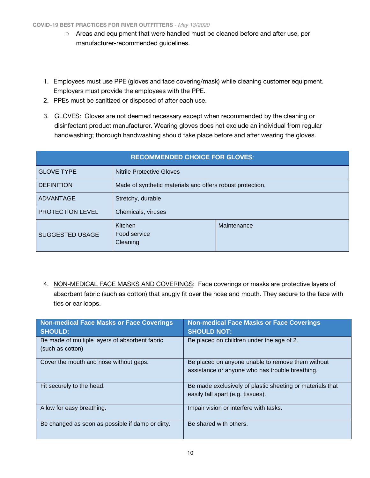- Areas and equipment that were handled must be cleaned before and after use, per manufacturer-recommended guidelines.
- 1. Employees must use PPE (gloves and face covering/mask) while cleaning customer equipment. Employers must provide the employees with the PPE.
- 2. PPEs must be sanitized or disposed of after each use.
- <span id="page-9-0"></span>3. GLOVES: Gloves are not deemed necessary except when recommended by the cleaning or disinfectant product manufacturer. Wearing gloves does not exclude an individual from regular handwashing; thorough handwashing should take place before and after wearing the gloves.

| <b>RECOMMENDED CHOICE FOR GLOVES:</b>                         |                                                           |             |  |
|---------------------------------------------------------------|-----------------------------------------------------------|-------------|--|
| <b>GLOVE TYPE</b>                                             | <b>Nitrile Protective Gloves</b>                          |             |  |
| <b>DEFINITION</b>                                             | Made of synthetic materials and offers robust protection. |             |  |
| <b>ADVANTAGE</b>                                              | Stretchy, durable                                         |             |  |
| <b>PROTECTION LEVEL</b>                                       | Chemicals, viruses                                        |             |  |
| Kitchen<br>Food service<br><b>SUGGESTED USAGE</b><br>Cleaning |                                                           | Maintenance |  |

<span id="page-9-1"></span>4. NON-MEDICAL FACE MASKS AND COVERINGS: Face coverings or masks are protective layers of absorbent fabric (such as cotton) that snugly fit over the nose and mouth. They secure to the face with ties or ear loops.

| Non-medical Face Masks or Face Coverings<br><b>SHOULD:</b>         | <b>Non-medical Face Masks or Face Coverings</b><br><b>SHOULD NOT:</b>                                |
|--------------------------------------------------------------------|------------------------------------------------------------------------------------------------------|
| Be made of multiple layers of absorbent fabric<br>(such as cotton) | Be placed on children under the age of 2.                                                            |
| Cover the mouth and nose without gaps.                             | Be placed on anyone unable to remove them without<br>assistance or anyone who has trouble breathing. |
| Fit securely to the head.                                          | Be made exclusively of plastic sheeting or materials that<br>easily fall apart (e.g. tissues).       |
| Allow for easy breathing.                                          | Impair vision or interfere with tasks.                                                               |
| Be changed as soon as possible if damp or dirty.                   | Be shared with others.                                                                               |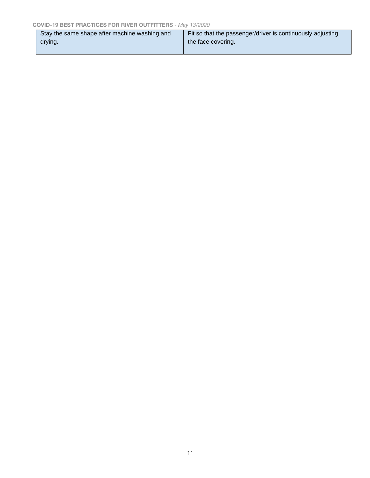| Stay the same shape after machine washing and | Fit so that the passenger/driver is continuously adjusting |
|-----------------------------------------------|------------------------------------------------------------|
| drying.                                       | the face covering.                                         |
|                                               |                                                            |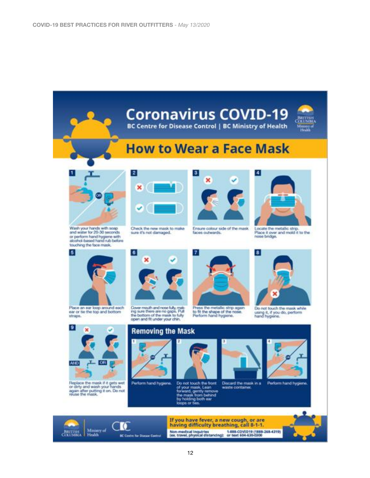# **Coronavirus COVID-19 BC Centre for Disease Control | BC Ministry of Health How to Wear a Face Mask**  $\blacktriangleleft$  $\vert$  $\vert$  2 3 × × Wash your hands with scap<br>and water for 20-30 seconds Check the new mask to make Ensure colour side of the mask. Locate the metallic strip. sure it's not damaged. faces outwards. Place it over and mold it to the or perform hand hygiene with<br>alcohol-based hand rub before nase bridge. touching the face mask.  $\vert$ 5 6 8  $\overline{7}$ × Place an ear loop around each Cover mouth and none fully, making sure there are no gaps. Pull<br>the bottom of the mask to fully<br>open and fit under your chin, Press the metallic strip again Do not touch the mask while<br>using it, if you do, perform<br>hand hygiene. ear or tie the top and bottom to fit the shape of the nose.<br>Perform hand hygiene, straps. 9 **Removing the Mask** AND. **OR** Do not touch the front Discard the mask in a Perform hand hygene.<br>of your mask, Lean waste container.<br>forward, gently remove<br>the musk horn behind<br>by holding both ear .<br>by holding both ear Replace the mask if it gets wet<br>or dirty and wash your hands<br>again after putting it on. Do not<br>reuse the mask. Perform hand hygiene.



If you have fever, a new cough, or are having difficulty breathing, call 8-1-1. Non-medical inquiries 4-888-COVID19 (1888-268-4319)<br>(ex. travel, physical distancing): or text 604-630-0300

12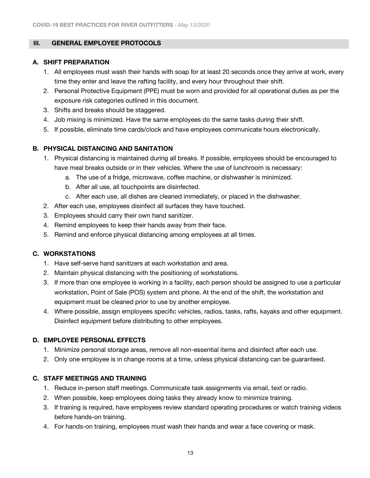### <span id="page-12-0"></span> **III. GENERAL EMPLOYEE PROTOCOLS**

### <span id="page-12-1"></span>**A. SHIFT PREPARATION**

- 1. All employees must wash their hands with soap for at least 20 seconds once they arrive at work, every time they enter and leave the rafting facility, and every hour throughout their shift.
- 2. Personal Protective Equipment (PPE) must be worn and provided for all operational duties as per the exposure risk categories outlined in this document.
- 3. Shifts and breaks should be staggered.
- 4. Job mixing is minimized. Have the same employees do the same tasks during their shift.
- 5. If possible, eliminate time cards/clock and have employees communicate hours electronically.

### <span id="page-12-2"></span>**B. PHYSICAL DISTANCING AND SANITATION**

- 1. Physical distancing is maintained during all breaks. If possible, employees should be encouraged to have meal breaks outside or in their vehicles. Where the use of lunchroom is necessary:
	- a. The use of a fridge, microwave, coffee machine, or dishwasher is minimized.
	- b. After all use, all touchpoints are disinfected.
	- c. After each use, all dishes are cleaned immediately, or placed in the dishwasher.
- 2. After each use, employees disinfect all surfaces they have touched.
- 3. Employees should carry their own hand sanitizer.
- 4. Remind employees to keep their hands away from their face.
- 5. Remind and enforce physical distancing among employees at all times.

### <span id="page-12-3"></span>**C. WORKSTATIONS**

- 1. Have self-serve hand sanitizers at each workstation and area.
- 2. Maintain physical distancing with the positioning of workstations.
- 3. If more than one employee is working in a facility, each person should be assigned to use a particular workstation, Point of Sale (POS) system and phone. At the end of the shift, the workstation and equipment must be cleaned prior to use by another employee.
- 4. Where possible, assign employees specific vehicles, radios, tasks, rafts, kayaks and other equipment. Disinfect equipment before distributing to other employees.

### <span id="page-12-4"></span>**D. EMPLOYEE PERSONAL EFFECTS**

- 1. Minimize personal storage areas, remove all non-essential items and disinfect after each use.
- 2. Only one employee is in change rooms at a time, unless physical distancing can be guaranteed.

### <span id="page-12-5"></span>**C. STAFF MEETINGS AND TRAINING**

- 1. Reduce in-person staff meetings. Communicate task assignments via email, text or radio.
- 2. When possible, keep employees doing tasks they already know to minimize training.
- 3. If training is required, have employees review standard operating procedures or watch training videos before hands-on training.
- 4. For hands-on training, employees must wash their hands and wear a face covering or mask.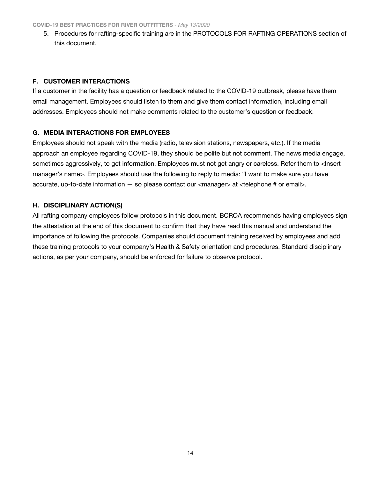5. Procedures for rafting-specific training are in the PROTOCOLS FOR RAFTING OPERATIONS section of this document.

# <span id="page-13-0"></span>**F. CUSTOMER INTERACTIONS**

If a customer in the facility has a question or feedback related to the COVID-19 outbreak, please have them email management. Employees should listen to them and give them contact information, including email addresses. Employees should not make comments related to the customer's question or feedback.

# <span id="page-13-1"></span>**G. MEDIA INTERACTIONS FOR EMPLOYEES**

Employees should not speak with the media (radio, television stations, newspapers, etc.). If the media approach an employee regarding COVID-19, they should be polite but not comment. The news media engage, sometimes aggressively, to get information. Employees must not get angry or careless. Refer them to <lnsert manager's name>. Employees should use the following to reply to media: "I want to make sure you have accurate, up-to-date information — so please contact our <manager> at <telephone # or email>.

# <span id="page-13-2"></span>**H. DISCIPLINARY ACTION(S)**

All rafting company employees follow protocols in this document. BCROA recommends having employees sign the attestation at the end of this document to confirm that they have read this manual and understand the importance of following the protocols. Companies should document training received by employees and add these training protocols to your company's Health & Safety orientation and procedures. Standard disciplinary actions, as per your company, should be enforced for failure to observe protocol.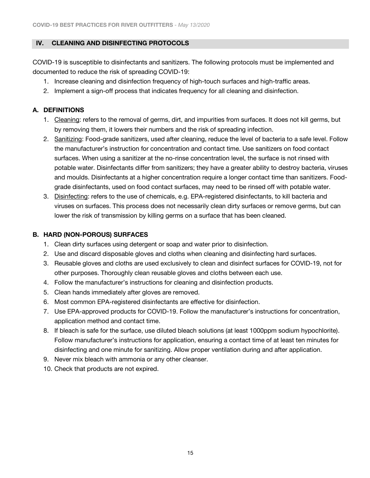### <span id="page-14-0"></span> **IV. CLEANING AND DISINFECTING PROTOCOLS**

COVID-19 is susceptible to disinfectants and sanitizers. The following protocols must be implemented and documented to reduce the risk of spreading COVID-19:

- 1. Increase cleaning and disinfection frequency of high-touch surfaces and high-traffic areas.
- 2. Implement a sign-off process that indicates frequency for all cleaning and disinfection.

# <span id="page-14-1"></span>**A. DEFINITIONS**

- 1. Cleaning: refers to the removal of germs, dirt, and impurities from surfaces. It does not kill germs, but by removing them, it lowers their numbers and the risk of spreading infection.
- 2. Sanitizing: Food-grade sanitizers, used after cleaning, reduce the level of bacteria to a safe level. Follow the manufacturer's instruction for concentration and contact time. Use sanitizers on food contact surfaces. When using a sanitizer at the no-rinse concentration level, the surface is not rinsed with potable water. Disinfectants differ from sanitizers; they have a greater ability to destroy bacteria, viruses and moulds. Disinfectants at a higher concentration require a longer contact time than sanitizers. Foodgrade disinfectants, used on food contact surfaces, may need to be rinsed off with potable water.
- 3. Disinfecting: refers to the use of chemicals, e.g. EPA-registered disinfectants, to kill bacteria and viruses on surfaces. This process does not necessarily clean dirty surfaces or remove germs, but can lower the risk of transmission by killing germs on a surface that has been cleaned.

### <span id="page-14-2"></span>**B. HARD (NON‐POROUS) SURFACES**

- 1. Clean dirty surfaces using detergent or soap and water prior to disinfection.
- 2. Use and discard disposable gloves and cloths when cleaning and disinfecting hard surfaces.
- 3. Reusable gloves and cloths are used exclusively to clean and disinfect surfaces for COVID-19, not for other purposes. Thoroughly clean reusable gloves and cloths between each use.
- 4. Follow the manufacturer's instructions for cleaning and disinfection products.
- 5. Clean hands immediately after gloves are removed.
- 6. Most common EPA-registered disinfectants are effective for disinfection.
- 7. Use EPA-approved products for COVID-19. Follow the manufacturer's instructions for concentration, application method and contact time.
- 8. If bleach is safe for the surface, use diluted bleach solutions (at least 1000ppm sodium hypochlorite). Follow manufacturer's instructions for application, ensuring a contact time of at least ten minutes for disinfecting and one minute for sanitizing. Allow proper ventilation during and after application.
- 9. Never mix bleach with ammonia or any other cleanser.
- 10. Check that products are not expired.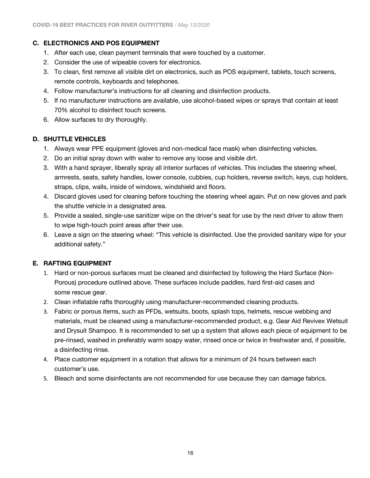# <span id="page-15-0"></span>**C. ELECTRONICS AND POS EQUIPMENT**

- 1. After each use, clean payment terminals that were touched by a customer.
- 2. Consider the use of wipeable covers for electronics.
- 3. To clean, first remove all visible dirt on electronics, such as POS equipment, tablets, touch screens, remote controls, keyboards and telephones.
- 4. Follow manufacturer's instructions for all cleaning and disinfection products.
- 5. If no manufacturer instructions are available, use alcohol-based wipes or sprays that contain at least 70% alcohol to disinfect touch screens.
- 6. Allow surfaces to dry thoroughly.

### <span id="page-15-1"></span>**D. SHUTTLE VEHICLES**

- 1. Always wear PPE equipment (gloves and non-medical face mask) when disinfecting vehicles.
- 2. Do an initial spray down with water to remove any loose and visible dirt.
- 3. With a hand sprayer, liberally spray all interior surfaces of vehicles. This includes the steering wheel, armrests, seats, safety handles, lower console, cubbies, cup holders, reverse switch, keys, cup holders, straps, clips, walls, inside of windows, windshield and floors.
- 4. Discard gloves used for cleaning before touching the steering wheel again. Put on new gloves and park the shuttle vehicle in a designated area.
- 5. Provide a sealed, single-use sanitizer wipe on the driver's seat for use by the next driver to allow them to wipe high-touch point areas after their use.
- 6. Leave a sign on the steering wheel: "This vehicle is disinfected. Use the provided sanitary wipe for your additional safety."

# <span id="page-15-2"></span>**E. RAFTING EQUIPMENT**

- 1. Hard or non-porous surfaces must be cleaned and disinfected by following the Hard Surface (Non-Porous) procedure outlined above. These surfaces include paddles, hard first-aid cases and some rescue gear.
- 2. Clean inflatable rafts thoroughly using manufacturer-recommended cleaning products.
- 3. Fabric or porous items, such as PFDs, wetsuits, boots, splash tops, helmets, rescue webbing and materials, must be cleaned using a manufacturer-recommended product, e.g. Gear Aid Revivex Wetsuit and Drysuit Shampoo. It is recommended to set up a system that allows each piece of equipment to be pre-rinsed, washed in preferably warm soapy water, rinsed once or twice in freshwater and, if possible, a disinfecting rinse.
- 4. Place customer equipment in a rotation that allows for a minimum of 24 hours between each customer's use.
- 5. Bleach and some disinfectants are not recommended for use because they can damage fabrics.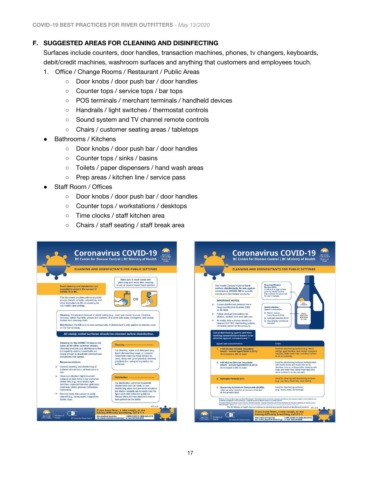# <span id="page-16-0"></span>**F. SUGGESTED AREAS FOR CLEANING AND DISINFECTING**

Surfaces include counters, door handles, transaction machines, phones, tv changers, keyboards, debit/credit machines, washroom surfaces and anything that customers and employees touch.

- 1. Office / Change Rooms / Restaurant / Public Areas
	- Door knobs / door push bar / door handles
	- Counter tops / service tops / bar tops
	- POS terminals / merchant terminals / handheld devices
	- Handrails / light switches / thermostat controls
	- Sound system and TV channel remote controls
	- Chairs / customer seating areas / tabletops
- Bathrooms / Kitchens
	- Door knobs / door push bar / door handles
	- Counter tops / sinks / basins
	- Toilets / paper dispensers / hand wash areas
	- Prep areas / kitchen line / service pass
- Staff Room / Offices
	- Door knobs / door push bar / door handles
	- Counter tops / workstations / desktops
	- Time clocks / staff kitchen area
	- Chairs / staff seating / staff break area

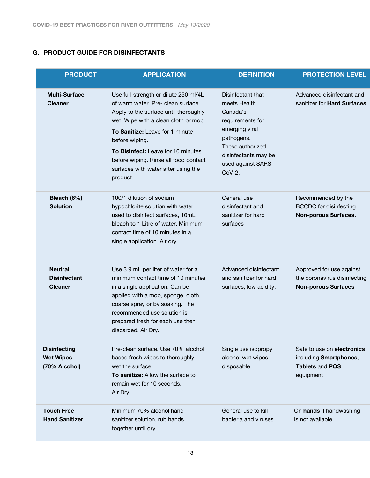# <span id="page-17-0"></span>**G. PRODUCT GUIDE FOR DISINFECTANTS**

| <b>PRODUCT</b><br><b>APPLICATION</b>                     |                                                                                                                                                                                                                                                                                                                                                     | <b>DEFINITION</b>                                                                                                                                                               | <b>PROTECTION LEVEL</b>                                                                     |  |
|----------------------------------------------------------|-----------------------------------------------------------------------------------------------------------------------------------------------------------------------------------------------------------------------------------------------------------------------------------------------------------------------------------------------------|---------------------------------------------------------------------------------------------------------------------------------------------------------------------------------|---------------------------------------------------------------------------------------------|--|
| <b>Multi-Surface</b><br><b>Cleaner</b>                   | Use full-strength or dilute 250 ml/4L<br>of warm water. Pre- clean surface.<br>Apply to the surface until thoroughly<br>wet. Wipe with a clean cloth or mop.<br>To Sanitize: Leave for 1 minute<br>before wiping.<br>To Disinfect: Leave for 10 minutes<br>before wiping. Rinse all food contact<br>surfaces with water after using the<br>product. | Disinfectant that<br>meets Health<br>Canada's<br>requirements for<br>emerging viral<br>pathogens.<br>These authorized<br>disinfectants may be<br>used against SARS-<br>$CoV-2.$ | Advanced disinfectant and<br>sanitizer for Hard Surfaces                                    |  |
| Bleach (6%)<br><b>Solution</b>                           | 100/1 dilution of sodium<br>hypochlorite solution with water<br>used to disinfect surfaces, 10mL<br>bleach to 1 Litre of water. Minimum<br>contact time of 10 minutes in a<br>single application. Air dry.                                                                                                                                          | General use<br>disinfectant and<br>sanitizer for hard<br>surfaces                                                                                                               | Recommended by the<br><b>BCCDC</b> for disinfecting<br><b>Non-porous Surfaces.</b>          |  |
| <b>Neutral</b><br><b>Disinfectant</b><br><b>Cleaner</b>  | Use 3.9 mL per liter of water for a<br>minimum contact time of 10 minutes<br>in a single application. Can be<br>applied with a mop, sponge, cloth,<br>coarse spray or by soaking. The<br>recommended use solution is<br>prepared fresh for each use then<br>discarded. Air Dry.                                                                     | Advanced disinfectant<br>and sanitizer for hard<br>surfaces, low acidity.                                                                                                       | Approved for use against<br>the coronavirus disinfecting<br><b>Non-porous Surfaces</b>      |  |
| <b>Disinfecting</b><br><b>Wet Wipes</b><br>(70% Alcohol) | Pre-clean surface. Use 70% alcohol<br>based fresh wipes to thoroughly<br>wet the surface.<br>To sanitize: Allow the surface to<br>remain wet for 10 seconds.<br>Air Dry.                                                                                                                                                                            | Single use isopropyl<br>alcohol wet wipes,<br>disposable.                                                                                                                       | Safe to use on electronics<br>including Smartphones,<br><b>Tablets and POS</b><br>equipment |  |
| <b>Touch Free</b><br><b>Hand Sanitizer</b>               | Minimum 70% alcohol hand<br>sanitizer solution, rub hands<br>together until dry.                                                                                                                                                                                                                                                                    | General use to kill<br>bacteria and viruses.                                                                                                                                    | On hands if handwashing<br>is not available                                                 |  |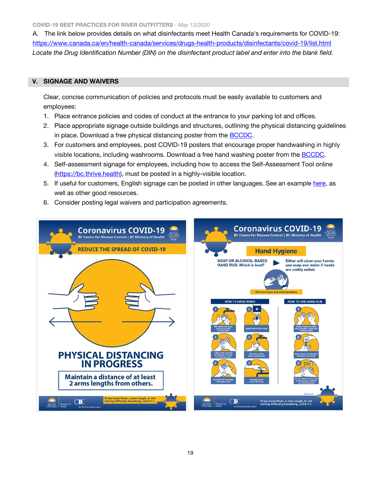**COVID-19 BEST PRACTICES FOR RIVER OUTFITTERS** *- May 13/2020*

A. The link below provides details on what disinfectants meet Health Canada's requirements for COVID-19: <https://www.canada.ca/en/health-canada/services/drugs-health-products/disinfectants/covid-19/list.html> *Locate the Drug Identification Number (DIN) on the disinfectant product label and enter into the blank field.*

### <span id="page-18-0"></span> **V. SIGNAGE AND WAIVERS**

Clear, concise communication of policies and protocols must be easily available to customers and employees:

- 1. Place entrance policies and codes of conduct at the entrance to your parking lot and offices.
- 2. Place appropriate signage outside buildings and structures, outlining the physical distancing guidelines in place. Download a free physical distancing poster from the [BCCDC.](http://www.bccdc.ca/Health-Professionals-Site/Documents/COVID19_PhysicalDistancingPoster.pdf)
- 3. For customers and employees, post COVID-19 posters that encourage proper handwashing in highly visible locations, including washrooms. Download a free hand washing poster from the [BCCDC.](http://www.bccdc.ca/Health-Professionals-Site/Documents/COVID19_Handwashing%2520Poster_MD%2520offices.pdf)
- 4. Self-assessment signage for employees, including how to access the Self-Assessment Tool online [\(https://bc.thrive.health\)](https://bc.thrive.health/), must be posted in a highly-visible location.
- 5. If useful for customers, English signage can be posted in other languages. See an example [here,](http://www.bccdc.ca/health-professionals/clinical-resources/covid-19-care/signage-posters) as well as other good resources.
- 6. Consider posting legal waivers and participation agreements.

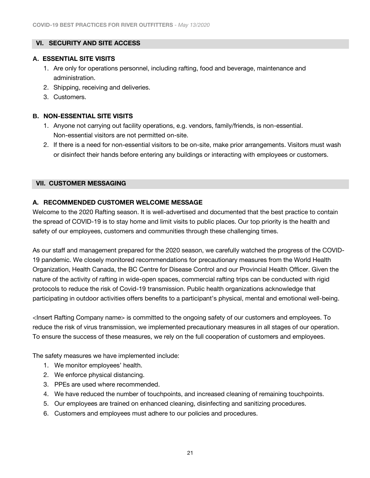# <span id="page-20-0"></span> **VI. SECURITY AND SITE ACCESS**

### <span id="page-20-1"></span>**A. ESSENTIAL SITE VISITS**

- 1. Are only for operations personnel, including rafting, food and beverage, maintenance and administration.
- 2. Shipping, receiving and deliveries.
- 3. Customers.

# <span id="page-20-2"></span>**B. NON-ESSENTIAL SITE VISITS**

- 1. Anyone not carrying out facility operations, e.g. vendors, family/friends, is non-essential. Non-essential visitors are not permitted on-site.
- 2. If there is a need for non-essential visitors to be on-site, make prior arrangements. Visitors must wash or disinfect their hands before entering any buildings or interacting with employees or customers.

# <span id="page-20-3"></span> **VII. CUSTOMER MESSAGING**

# <span id="page-20-4"></span>**A. RECOMMENDED CUSTOMER WELCOME MESSAGE**

Welcome to the 2020 Rafting season. It is well-advertised and documented that the best practice to contain the spread of COVID-19 is to stay home and limit visits to public places. Our top priority is the health and safety of our employees, customers and communities through these challenging times.

As our staff and management prepared for the 2020 season, we carefully watched the progress of the COVID-19 pandemic. We closely monitored recommendations for precautionary measures from the World Health Organization, Health Canada, the BC Centre for Disease Control and our Provincial Health Officer. Given the nature of the activity of rafting in wide-open spaces, commercial rafting trips can be conducted with rigid protocols to reduce the risk of Covid-19 transmission. Public health organizations acknowledge that participating in outdoor activities offers benefits to a participant's physical, mental and emotional well-being.

<Insert Rafting Company name> is committed to the ongoing safety of our customers and employees. To reduce the risk of virus transmission, we implemented precautionary measures in all stages of our operation. To ensure the success of these measures, we rely on the full cooperation of customers and employees.

The safety measures we have implemented include:

- 1. We monitor employees' health.
- 2. We enforce physical distancing.
- 3. PPEs are used where recommended.
- 4. We have reduced the number of touchpoints, and increased cleaning of remaining touchpoints.
- 5. Our employees are trained on enhanced cleaning, disinfecting and sanitizing procedures.
- 6. Customers and employees must adhere to our policies and procedures.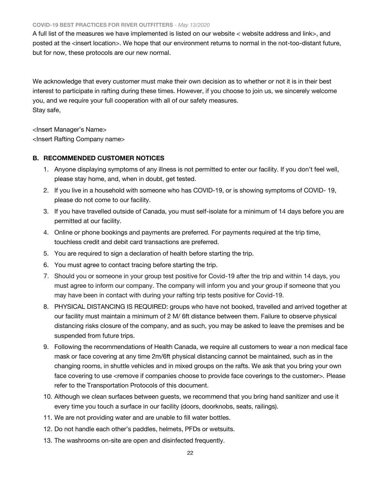#### **COVID-19 BEST PRACTICES FOR RIVER OUTFITTERS** *- May 13/2020*

A full list of the measures we have implemented is listed on our website < website address and link>, and posted at the <insert location>. We hope that our environment returns to normal in the not-too-distant future, but for now, these protocols are our new normal.

We acknowledge that every customer must make their own decision as to whether or not it is in their best interest to participate in rafting during these times. However, if you choose to join us, we sincerely welcome you, and we require your full cooperation with all of our safety measures. Stay safe,

<Insert Manager's Name> <Insert Rafting Company name>

### <span id="page-21-0"></span>**B. RECOMMENDED CUSTOMER NOTICES**

- 1. Anyone displaying symptoms of any illness is not permitted to enter our facility. If you don't feel well, please stay home, and, when in doubt, get tested.
- 2. If you live in a household with someone who has COVID-19, or is showing symptoms of COVID- 19, please do not come to our facility.
- 3. If you have travelled outside of Canada, you must self-isolate for a minimum of 14 days before you are permitted at our facility.
- 4. Online or phone bookings and payments are preferred. For payments required at the trip time, touchless credit and debit card transactions are preferred.
- 5. You are required to sign a declaration of health before starting the trip.
- 6. You must agree to contact tracing before starting the trip.
- 7. Should you or someone in your group test positive for Covid-19 after the trip and within 14 days, you must agree to inform our company. The company will inform you and your group if someone that you may have been in contact with during your rafting trip tests positive for Covid-19.
- 8. PHYSICAL DISTANCING IS REQUIRED: groups who have not booked, travelled and arrived together at our facility must maintain a minimum of 2 M/ 6ft distance between them. Failure to observe physical distancing risks closure of the company, and as such, you may be asked to leave the premises and be suspended from future trips.
- 9. Following the recommendations of Health Canada, we require all customers to wear a non medical face mask or face covering at any time 2m/6ft physical distancing cannot be maintained, such as in the changing rooms, in shuttle vehicles and in mixed groups on the rafts. We ask that you bring your own face covering to use <remove if companies choose to provide face coverings to the customer>. Please refer to the Transportation Protocols of this document.
- 10. Although we clean surfaces between guests, we recommend that you bring hand sanitizer and use it every time you touch a surface in our facility (doors, doorknobs, seats, railings).
- 11. We are not providing water and are unable to fill water bottles.
- 12. Do not handle each other's paddles, helmets, PFDs or wetsuits.
- 13. The washrooms on-site are open and disinfected frequently.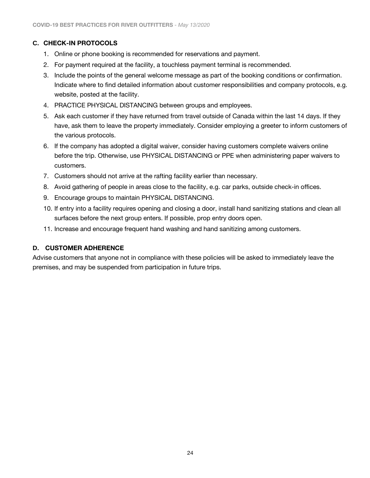# <span id="page-23-0"></span>**C. CHECK-IN PROTOCOLS**

- 1. Online or phone booking is recommended for reservations and payment.
- 2. For payment required at the facility, a touchless payment terminal is recommended.
- 3. Include the points of the general welcome message as part of the booking conditions or confirmation. Indicate where to find detailed information about customer responsibilities and company protocols, e.g. website, posted at the facility.
- 4. PRACTICE PHYSICAL DISTANCING between groups and employees.
- 5. Ask each customer if they have returned from travel outside of Canada within the last 14 days. If they have, ask them to leave the property immediately. Consider employing a greeter to inform customers of the various protocols.
- 6. If the company has adopted a digital waiver, consider having customers complete waivers online before the trip. Otherwise, use PHYSICAL DISTANCING or PPE when administering paper waivers to customers.
- 7. Customers should not arrive at the rafting facility earlier than necessary.
- 8. Avoid gathering of people in areas close to the facility, e.g. car parks, outside check-in offices.
- 9. Encourage groups to maintain PHYSICAL DISTANCING.
- 10. If entry into a facility requires opening and closing a door, install hand sanitizing stations and clean all surfaces before the next group enters. If possible, prop entry doors open.
- 11. Increase and encourage frequent hand washing and hand sanitizing among customers.

### <span id="page-23-1"></span>**D. CUSTOMER ADHERENCE**

Advise customers that anyone not in compliance with these policies will be asked to immediately leave the premises, and may be suspended from participation in future trips.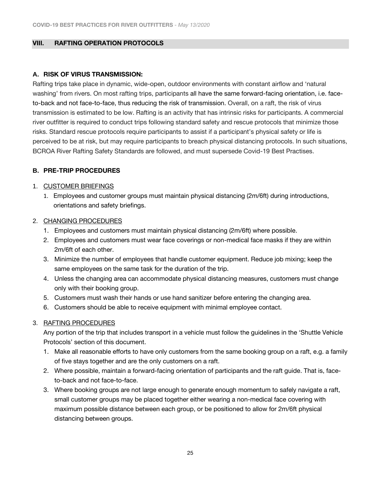#### <span id="page-24-0"></span>**VIII. RAFTING OPERATION PROTOCOLS**

### <span id="page-24-1"></span>**A. RISK OF VIRUS TRANSMISSION:**

Rafting trips take place in dynamic, wide-open, outdoor environments with constant airflow and 'natural washing' from rivers. On most rafting trips, participants all have the same forward-facing orientation, i.e. faceto-back and not face-to-face, thus reducing the risk of transmission. Overall, on a raft, the risk of virus transmission is estimated to be low. Rafting is an activity that has intrinsic risks for participants. A commercial river outfitter is required to conduct trips following standard safety and rescue protocols that minimize those risks. Standard rescue protocols require participants to assist if a participant's physical safety or life is perceived to be at risk, but may require participants to breach physical distancing protocols. In such situations, BCROA River Rafting Safety Standards are followed, and must supersede Covid-19 Best Practises.

### <span id="page-24-2"></span>**B. PRE-TRIP PROCEDURES**

#### <span id="page-24-3"></span>1. CUSTOMER BRIEFINGS

1. Employees and customer groups must maintain physical distancing (2m/6ft) during introductions, orientations and safety briefings.

#### <span id="page-24-4"></span>2. CHANGING PROCEDURES

- 1. Employees and customers must maintain physical distancing (2m/6ft) where possible.
- 2. Employees and customers must wear face coverings or non-medical face masks if they are within 2m/6ft of each other.
- 3. Minimize the number of employees that handle customer equipment. Reduce job mixing; keep the same employees on the same task for the duration of the trip.
- 4. Unless the changing area can accommodate physical distancing measures, customers must change only with their booking group.
- 5. Customers must wash their hands or use hand sanitizer before entering the changing area.
- 6. Customers should be able to receive equipment with minimal employee contact.

#### <span id="page-24-5"></span>3. RAFTING PROCEDURES

Any portion of the trip that includes transport in a vehicle must follow the guidelines in the 'Shuttle Vehicle Protocols' section of this document.

- 1. Make all reasonable efforts to have only customers from the same booking group on a raft, e.g. a family of five stays together and are the only customers on a raft.
- 2. Where possible, maintain a forward-facing orientation of participants and the raft guide. That is, faceto-back and not face-to-face.
- 3. Where booking groups are not large enough to generate enough momentum to safely navigate a raft, small customer groups may be placed together either wearing a non-medical face covering with maximum possible distance between each group, or be positioned to allow for 2m/6ft physical distancing between groups.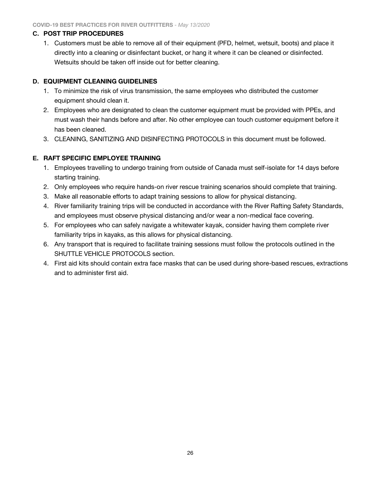#### <span id="page-25-0"></span>**C. POST TRIP PROCEDURES**

1. Customers must be able to remove all of their equipment (PFD, helmet, wetsuit, boots) and place it directly into a cleaning or disinfectant bucket, or hang it where it can be cleaned or disinfected. Wetsuits should be taken off inside out for better cleaning.

### <span id="page-25-1"></span>**D. EQUIPMENT CLEANING GUIDELINES**

- 1. To minimize the risk of virus transmission, the same employees who distributed the customer equipment should clean it.
- 2. Employees who are designated to clean the customer equipment must be provided with PPEs, and must wash their hands before and after. No other employee can touch customer equipment before it has been cleaned.
- 3. CLEANING, SANITIZING AND DISINFECTING PROTOCOLS in this document must be followed.

# <span id="page-25-2"></span>**E. RAFT SPECIFIC EMPLOYEE TRAINING**

- 1. Employees travelling to undergo training from outside of Canada must self-isolate for 14 days before starting training.
- 2. Only employees who require hands-on river rescue training scenarios should complete that training.
- 3. Make all reasonable efforts to adapt training sessions to allow for physical distancing.
- 4. River familiarity training trips will be conducted in accordance with the River Rafting Safety Standards, and employees must observe physical distancing and/or wear a non-medical face covering.
- 5. For employees who can safely navigate a whitewater kayak, consider having them complete river familiarity trips in kayaks, as this allows for physical distancing.
- 6. Any transport that is required to facilitate training sessions must follow the protocols outlined in the SHUTTLE VEHICLE PROTOCOLS section.
- 4. First aid kits should contain extra face masks that can be used during shore-based rescues, extractions and to administer first aid.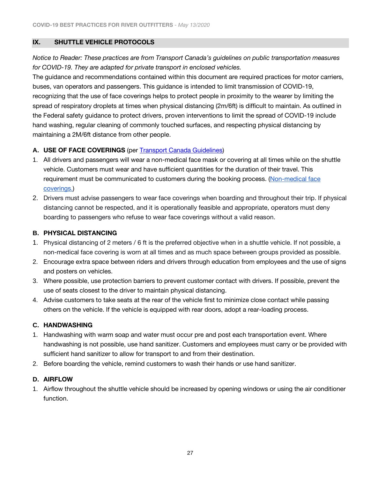### <span id="page-26-0"></span>**IX. SHUTTLE VEHICLE PROTOCOLS**

*Notice to Reader: These practices are from Transport Canada's guidelines on public transportation measures for COVID-19. They are adapted for private transport in enclosed vehicles.*

The guidance and recommendations contained within this document are required practices for motor carriers, buses, van operators and passengers. This guidance is intended to limit transmission of COVID-19, recognizing that the use of face coverings helps to protect people in proximity to the wearer by limiting the spread of respiratory droplets at times when physical distancing (2m/6ft) is difficult to maintain. As outlined in the [Federal safety guidance to protect drivers,](https://www.tc.gc.ca/eng/motorvehiclesafety/federal-safety-guidance-protect-drivers-limit-spread-covid-19-commercial-vehicle-operations.html) proven interventions to limit the spread of COVID-19 include hand washing, regular cleaning of commonly touched surfaces, and respecting physical distancing by maintaining a 2M/6ft distance from other people.

# <span id="page-26-1"></span>**A. USE OF FACE COVERINGS** (per [Transport Canada Guidelines\)](https://www.canada.ca/en/transport-canada/news/2020/04/new-measures-introduced-for-non-medical-masks-or-face-coverings-in-the-canadian-transportation-system.html)

- 1. All drivers and passengers will wear a non-medical face mask or covering at all times while on the shuttle vehicle. Customers must wear and have sufficient quantities for the duration of their travel. This requirement must be communicated to customers during the booking process. (Non-medical face [coverings.\)](https://www.canada.ca/en/public-health/services/diseases/2019-novel-coronavirus-infection/prevention-risks/instructions-sew-no-sew-cloth-face-covering.html)
- 2. Drivers must advise passengers to wear face coverings when boarding and throughout their trip. If physical distancing cannot be respected, and it is operationally feasible and appropriate, operators must deny boarding to passengers who refuse to wear face coverings without a valid reason.

### <span id="page-26-2"></span>**B. PHYSICAL DISTANCING**

- 1. Physical distancing of 2 meters / 6 ft is the preferred objective when in a shuttle vehicle. If not possible, a non-medical face covering is worn at all times and as much space between groups provided as possible.
- 2. Encourage extra space between riders and drivers through education from employees and the use of signs and posters on vehicles.
- 3. Where possible, use protection barriers to prevent customer contact with drivers. If possible, prevent the use of seats closest to the driver to maintain physical distancing.
- 4. Advise customers to take seats at the rear of the vehicle first to minimize close contact while passing others on the vehicle. If the vehicle is equipped with rear doors, adopt a rear-loading process.

### <span id="page-26-3"></span>**C. HANDWASHING**

- 1. Handwashing with warm soap and water must occur pre and post each transportation event. Where handwashing is not possible, use hand sanitizer. Customers and employees must carry or be provided with sufficient hand sanitizer to allow for transport to and from their destination.
- 2. Before boarding the vehicle, remind customers to wash their hands or use hand sanitizer.

### <span id="page-26-4"></span>**D. AIRFLOW**

1. Airflow throughout the shuttle vehicle should be increased by opening windows or using the air conditioner function.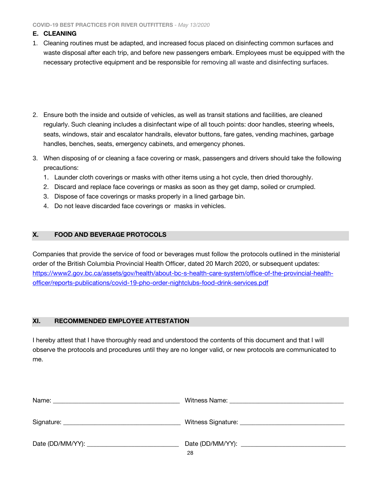**COVID-19 BEST PRACTICES FOR RIVER OUTFITTERS** *- May 13/2020*

### <span id="page-27-0"></span>**E. CLEANING**

- 1. Cleaning routines must be adapted, and increased focus placed on disinfecting common surfaces and waste disposal after each trip, and before new passengers embark. Employees must be equipped with the necessary protective equipment and be responsible for removing all waste and disinfecting surfaces.
- 2. Ensure both the inside and outside of vehicles, as well as transit stations and facilities, are cleaned regularly. Such cleaning includes a disinfectant wipe of all touch points: door handles, steering wheels, seats, windows, stair and escalator handrails, elevator buttons, fare gates, vending machines, garbage handles, benches, seats, emergency cabinets, and emergency phones.
- 3. When disposing of or cleaning a face covering or mask, passengers and drivers should take the following precautions:
	- 1. Launder cloth coverings or masks with other items using a hot cycle, then dried thoroughly.
	- 2. Discard and replace face coverings or masks as soon as they get damp, soiled or crumpled.
	- 3. Dispose of face coverings or masks properly in a lined garbage bin.
	- 4. Do not leave discarded face coverings or masks in vehicles.

### <span id="page-27-1"></span>**X. FOOD AND BEVERAGE PROTOCOLS**

Companies that provide the service of food or beverages must follow the protocols outlined in the ministerial order of the British Columbia Provincial Health Officer, dated 20 March 2020, or subsequent updates: [https://www2.gov.bc.ca/assets/gov/health/about-bc-s-health-care-system/office-of-the-provincial-health](https://www2.gov.bc.ca/assets/gov/health/about-bc-s-health-care-system/office-of-the-provincial-health-officer/reports-publications/covid-19-pho-order-nightclubs-food-drink-services.pdf)[officer/reports-publications/covid-19-pho-order-nightclubs-food-drink-services.pdf](https://www2.gov.bc.ca/assets/gov/health/about-bc-s-health-care-system/office-of-the-provincial-health-officer/reports-publications/covid-19-pho-order-nightclubs-food-drink-services.pdf)

### <span id="page-27-2"></span>**XI. RECOMMENDED EMPLOYEE ATTESTATION**

I hereby attest that I have thoroughly read and understood the contents of this document and that I will observe the protocols and procedures until they are no longer valid, or new protocols are communicated to me.

| Name:<br>and the control of the control of the control of the control of the control of the control of the control of the |    |
|---------------------------------------------------------------------------------------------------------------------------|----|
|                                                                                                                           |    |
|                                                                                                                           | 28 |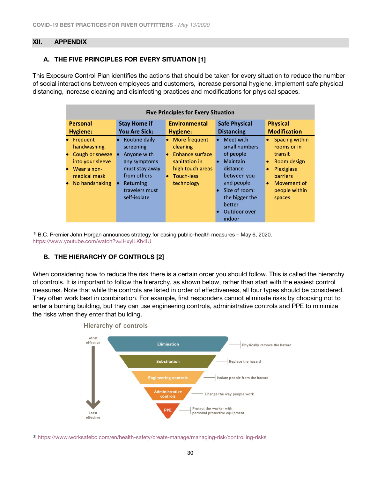#### <span id="page-29-0"></span>**XII. APPENDIX**

### **A. THE FIVE PRINCIPLES FOR EVERY SITUATION [1]**

This Exposure Control Plan identifies the actions that should be taken for every situation to reduce the number of social interactions between employees and customers, increase personal hygiene, implement safe physical distancing, increase cleaning and disinfecting practices and modifications for physical spaces.

| <b>Five Principles for Every Situation</b>                                                                                     |                                                                                                                                                        |                                                                                                                                       |                                                                                                                                                                     |                                                                                                                                                        |
|--------------------------------------------------------------------------------------------------------------------------------|--------------------------------------------------------------------------------------------------------------------------------------------------------|---------------------------------------------------------------------------------------------------------------------------------------|---------------------------------------------------------------------------------------------------------------------------------------------------------------------|--------------------------------------------------------------------------------------------------------------------------------------------------------|
| <b>Personal</b><br>Hygiene:                                                                                                    | <b>Stay Home if</b><br><b>You Are Sick:</b>                                                                                                            | <b>Environmental</b><br>Hygiene:                                                                                                      | <b>Safe Physical</b><br><b>Distancing</b>                                                                                                                           | <b>Physical</b><br><b>Modification</b>                                                                                                                 |
| • Frequent<br>handwashing<br>Cough or sneeze<br>into your sleeve<br>Wear a non-<br>$\bullet$<br>medical mask<br>No handshaking | Routine daily<br>screening<br>Anyone with<br>$\bullet$<br>any symptoms<br>must stay away<br>from others<br>Returning<br>travelers must<br>self-isolate | • More frequent<br>cleaning<br><b>Enhance surface</b><br>$\bullet$<br>sanitation in<br>high touch areas<br>• Touch-less<br>technology | Meet with<br>small numbers<br>of people<br>Maintain<br>distance<br>between you<br>and people<br>Size of room:<br>the bigger the<br>better<br>Outdoor over<br>indoor | Spacing within<br>rooms or in<br>transit<br>Room design<br><b>Plexiglass</b><br><b>barriers</b><br>Movement of<br>$\bullet$<br>people within<br>spaces |

[1] B.C. Premier John Horgan announces strategy for easing public-health measures – May 6, 2020. <https://www.youtube.com/watch?v=lHxyiLKh4IU>

### **B. THE HIERARCHY OF CONTROLS [2]**

When considering how to reduce the risk there is a certain order you should follow. This is called the hierarchy of controls. It is important to follow the hierarchy, as shown below, rather than start with the easiest control measures. Note that while the controls are listed in order of effectiveness, all four types should be considered. They often work best in combination. For example, first responders cannot eliminate risks by choosing not to enter a burning building, but they can use engineering controls, administrative controls and PPE to minimize the risks when they enter that building.



[2] <https://www.worksafebc.com/en/health-safety/create-manage/managing-risk/controlling-risks>